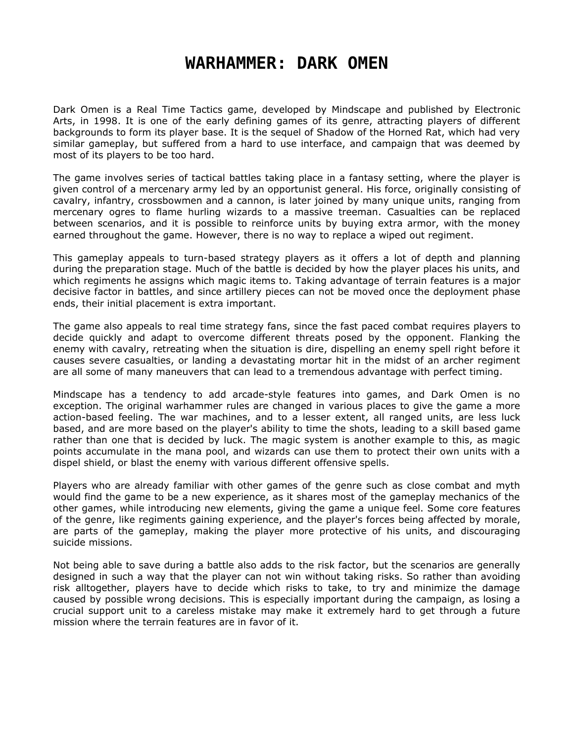## **WARHAMMER: DARK OMEN**

Dark Omen is a Real Time Tactics game, developed by Mindscape and published by Electronic Arts, in 1998. It is one of the early defining games of its genre, attracting players of different backgrounds to form its player base. It is the sequel of Shadow of the Horned Rat, which had very similar gameplay, but suffered from a hard to use interface, and campaign that was deemed by most of its players to be too hard.

The game involves series of tactical battles taking place in a fantasy setting, where the player is given control of a mercenary army led by an opportunist general. His force, originally consisting of cavalry, infantry, crossbowmen and a cannon, is later joined by many unique units, ranging from mercenary ogres to flame hurling wizards to a massive treeman. Casualties can be replaced between scenarios, and it is possible to reinforce units by buying extra armor, with the money earned throughout the game. However, there is no way to replace a wiped out regiment.

This gameplay appeals to turn-based strategy players as it offers a lot of depth and planning during the preparation stage. Much of the battle is decided by how the player places his units, and which regiments he assigns which magic items to. Taking advantage of terrain features is a major decisive factor in battles, and since artillery pieces can not be moved once the deployment phase ends, their initial placement is extra important.

The game also appeals to real time strategy fans, since the fast paced combat requires players to decide quickly and adapt to overcome different threats posed by the opponent. Flanking the enemy with cavalry, retreating when the situation is dire, dispelling an enemy spell right before it causes severe casualties, or landing a devastating mortar hit in the midst of an archer regiment are all some of many maneuvers that can lead to a tremendous advantage with perfect timing.

Mindscape has a tendency to add arcade-style features into games, and Dark Omen is no exception. The original warhammer rules are changed in various places to give the game a more action-based feeling. The war machines, and to a lesser extent, all ranged units, are less luck based, and are more based on the player's ability to time the shots, leading to a skill based game rather than one that is decided by luck. The magic system is another example to this, as magic points accumulate in the mana pool, and wizards can use them to protect their own units with a dispel shield, or blast the enemy with various different offensive spells.

Players who are already familiar with other games of the genre such as close combat and myth would find the game to be a new experience, as it shares most of the gameplay mechanics of the other games, while introducing new elements, giving the game a unique feel. Some core features of the genre, like regiments gaining experience, and the player's forces being affected by morale, are parts of the gameplay, making the player more protective of his units, and discouraging suicide missions.

Not being able to save during a battle also adds to the risk factor, but the scenarios are generally designed in such a way that the player can not win without taking risks. So rather than avoiding risk alltogether, players have to decide which risks to take, to try and minimize the damage caused by possible wrong decisions. This is especially important during the campaign, as losing a crucial support unit to a careless mistake may make it extremely hard to get through a future mission where the terrain features are in favor of it.